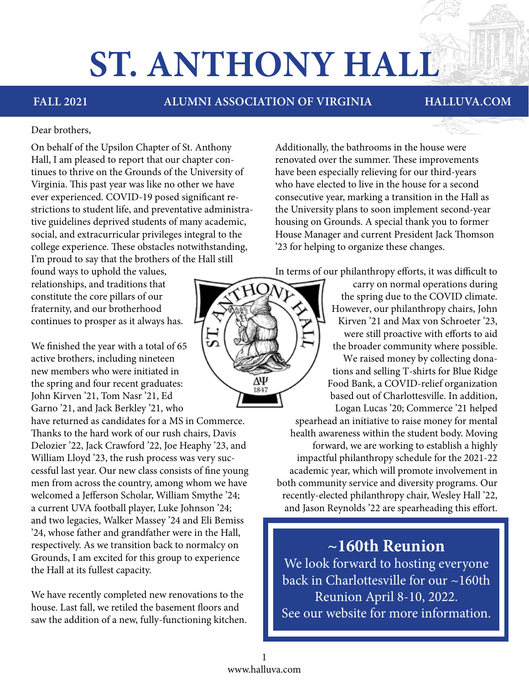# **ST. ANTHONY HALL**

**FALL 2021 ALUMNI ASSOCIATION OF VIRGINIA HALLUVA.COM**

#### Dear brothers,

On behalf of the Upsilon Chapter of St. Anthony Hall, I am pleased to report that our chapter continues to thrive on the Grounds of the University of Virginia. This past year was like no other we have ever experienced. COVID-19 posed significant restrictions to student life, and preventative administrative guidelines deprived students of many academic, social, and extracurricular privileges integral to the college experience. These obstacles notwithstanding, I'm proud to say that the brothers of the Hall still

found ways to uphold the values, relationships, and traditions that constitute the core pillars of our fraternity, and our brotherhood continues to prosper as it always has.

We finished the year with a total of 65 active brothers, including nineteen new members who were initiated in the spring and four recent graduates: John Kirven '21, Tom Nasr '21, Ed Garno '21, and Jack Berkley '21, who

have returned as candidates for a MS in Commerce. Thanks to the hard work of our rush chairs, Davis Delozier '22, Jack Crawford '22, Joe Heaphy '23, and William Lloyd '23, the rush process was very successful last year. Our new class consists of fine young men from across the country, among whom we have welcomed a Jefferson Scholar, William Smythe '24; a current UVA football player, Luke Johnson '24; and two legacies, Walker Massey '24 and Eli Bemiss '24, whose father and grandfather were in the Hall, respectively. As we transition back to normalcy on Grounds, I am excited for this group to experience the Hall at its fullest capacity.

We have recently completed new renovations to the house. Last fall, we retiled the basement floors and saw the addition of a new, fully-functioning kitchen.

75

Additionally, the bathrooms in the house were renovated over the summer. These improvements have been especially relieving for our third-years who have elected to live in the house for a second consecutive year, marking a transition in the Hall as the University plans to soon implement second-year housing on Grounds. A special thank you to former House Manager and current President Jack Thomson '23 for helping to organize these changes.

In terms of our philanthropy efforts, it was difficult to

carry on normal operations during the spring due to the COVID climate. However, our philanthropy chairs, John Kirven '21 and Max von Schroeter '23, were still proactive with efforts to aid the broader community where possible. We raised money by collecting donations and selling T-shirts for Blue Ridge Food Bank, a COVID-relief organization based out of Charlottesville. In addition, Logan Lucas '20; Commerce '21 helped

 spearhead an initiative to raise money for mental health awareness within the student body. Moving forward, we are working to establish a highly impactful philanthropy schedule for the 2021-22 academic year, which will promote involvement in both community service and diversity programs. Our recently-elected philanthropy chair, Wesley Hall '22, and Jason Reynolds '22 are spearheading this effort.

### **~160th Reunion**

We look forward to hosting everyone back in Charlottesville for our ~160th Reunion April 8-10, 2022. See our website for more information.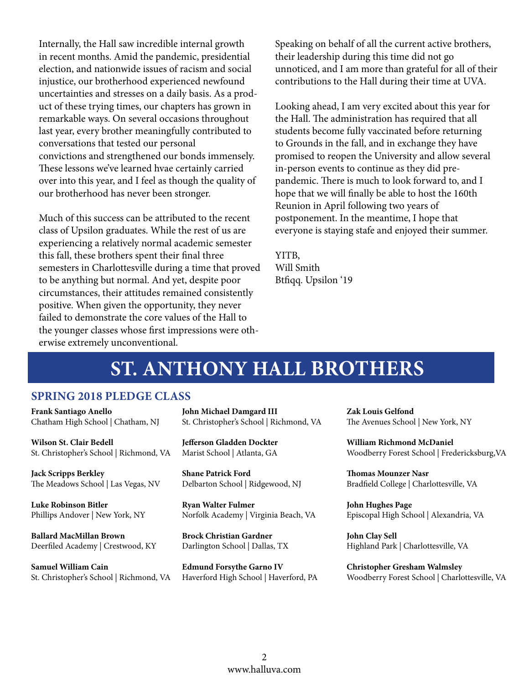Internally, the Hall saw incredible internal growth in recent months. Amid the pandemic, presidential election, and nationwide issues of racism and social injustice, our brotherhood experienced newfound uncertainties and stresses on a daily basis. As a product of these trying times, our chapters has grown in remarkable ways. On several occasions throughout last year, every brother meaningfully contributed to conversations that tested our personal convictions and strengthened our bonds immensely. These lessons we've learned hvae certainly carried over into this year, and I feel as though the quality of our brotherhood has never been stronger.

Much of this success can be attributed to the recent class of Upsilon graduates. While the rest of us are experiencing a relatively normal academic semester this fall, these brothers spent their final three semesters in Charlottesville during a time that proved to be anything but normal. And yet, despite poor circumstances, their attitudes remained consistently positive. When given the opportunity, they never failed to demonstrate the core values of the Hall to the younger classes whose first impressions were otherwise extremely unconventional.

Speaking on behalf of all the current active brothers, their leadership during this time did not go unnoticed, and I am more than grateful for all of their contributions to the Hall during their time at UVA.

Looking ahead, I am very excited about this year for the Hall. The administration has required that all students become fully vaccinated before returning to Grounds in the fall, and in exchange they have promised to reopen the University and allow several in-person events to continue as they did prepandemic. There is much to look forward to, and I hope that we will finally be able to host the 160th Reunion in April following two years of postponement. In the meantime, I hope that everyone is staying stafe and enjoyed their summer.

YITB, Will Smith Btfiqq. Upsilon '19

### **ST. ANTHONY HALL BROTHERS**

### **SPRING 2018 PLEDGE CLASS**

**Frank Santiago Anello** Chatham High School | Chatham, NJ

**Wilson St. Clair Bedell** St. Christopher's School | Richmond, VA

**Jack Scripps Berkley** The Meadows School | Las Vegas, NV

**Luke Robinson Bitler** Phillips Andover | New York, NY

**Ballard MacMillan Brown**  Deerfiled Academy | Crestwood, KY

**Samuel William Cain**  St. Christopher's School | Richmond, VA **John Michael Damgard III** St. Christopher's School | Richmond, VA

**Jefferson Gladden Dockter** Marist School | Atlanta, GA

**Shane Patrick Ford** Delbarton School | Ridgewood, NJ

**Ryan Walter Fulmer** Norfolk Academy | Virginia Beach, VA

**Brock Christian Gardner** Darlington School | Dallas, TX

**Edmund Forsythe Garno IV**  Haverford High School | Haverford, PA

**Zak Louis Gelfond** The Avenues School | New York, NY

**William Richmond McDaniel** Woodberry Forest School | Fredericksburg,VA

**Thomas Mounzer Nasr** Bradfield College | Charlottesville, VA

**John Hughes Page**  Episcopal High School | Alexandria, VA

**John Clay Sell** Highland Park | Charlottesville, VA

**Christopher Gresham Walmsley** Woodberry Forest School | Charlottesville, VA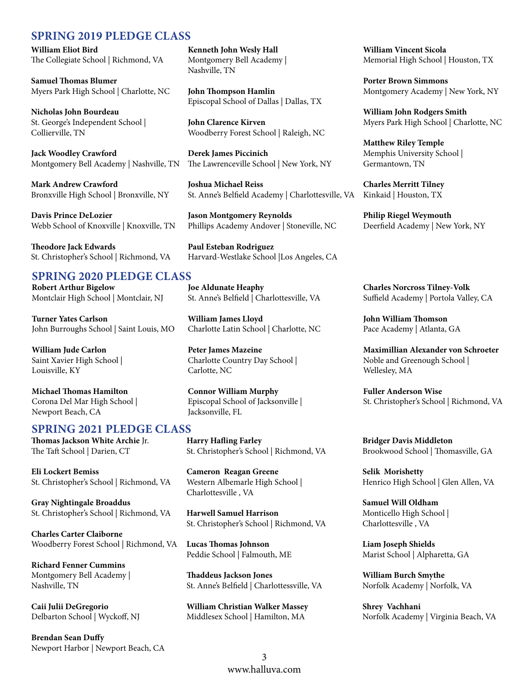### **SPRING 2019 PLEDGE CLASS**

**William Eliot Bird** The Collegiate School | Richmond, VA

**Samuel Thomas Blumer** Myers Park High School | Charlotte, NC

**Nicholas John Bourdeau** St. George's Independent School | Collierville, TN

**Jack Woodley Crawford** Montgomery Bell Academy | Nashville, TN

**Mark Andrew Crawford** Bronxville High School | Bronxville, NY

**Davis Prince DeLozier** Webb School of Knoxville | Knoxville, TN

**Theodore Jack Edwards** St. Christopher's School | Richmond, VA

### **SPRING 2020 PLEDGE CLASS**

**Robert Arthur Bigelow** Montclair High School | Montclair, NJ

**Turner Yates Carlson** John Burroughs School | Saint Louis, MO

**William Jude Carlon** Saint Xavier High School | Louisville, KY

**Michael Thomas Hamilton** Corona Del Mar High School | Newport Beach, CA

#### **SPRING 2021 PLEDGE CLASS**

**Thomas Jackson White Archie** Jr. The Taft School | Darien, CT

**Eli Lockert Bemiss** St. Christopher's School | Richmond, VA

**Gray Nightingale Broaddus** St. Christopher's School | Richmond, VA

**Charles Carter Claiborne** Woodberry Forest School | Richmond, VA

**Richard Fenner Cummins** Montgomery Bell Academy | Nashville, TN

**Caii Julii DeGregorio** Delbarton School | Wyckoff, NJ

**Brendan Sean Duffy** Newport Harbor | Newport Beach, CA **Kenneth John Wesly Hall** Montgomery Bell Academy | Nashville, TN

**John Thompson Hamlin** Episcopal School of Dallas | Dallas, TX

**John Clarence Kirven** Woodberry Forest School | Raleigh, NC

**Derek James Piccinich** The Lawrenceville School | New York, NY

**Joshua Michael Reiss** St. Anne's Belfield Academy | Charlottesville, VA

**Jason Montgomery Reynolds** Phillips Academy Andover | Stoneville, NC

**Paul Esteban Rodriguez** Harvard-Westlake School |Los Angeles, CA

**Joe Aldunate Heaphy** St. Anne's Belfield | Charlottesville, VA

**William James Lloyd** Charlotte Latin School | Charlotte, NC

**Peter James Mazeine** Charlotte Country Day School | Carlotte, NC

**Connor William Murphy** Episcopal School of Jacksonville | Jacksonville, FL

**Harry Hafling Farley** St. Christopher's School | Richmond, VA

**Cameron Reagan Greene** Western Albemarle High School | Charlottesville , VA

**Harwell Samuel Harrison** St. Christopher's School | Richmond, VA

**Lucas Thomas Johnson** Peddie School | Falmouth, ME

**Thaddeus Jackson Jones** St. Anne's Belfield | Charlottessville, VA

**William Christian Walker Massey** Middlesex School | Hamilton, MA

**William Vincent Sicola** Memorial High School | Houston, TX

**Porter Brown Simmons** Montgomery Academy | New York, NY

**William John Rodgers Smith** Myers Park High School | Charlotte, NC

**Matthew Riley Temple** Memphis University School | Germantown, TN

**Charles Merritt Tilney** Kinkaid | Houston, TX

**Philip Riegel Weymouth** Deerfield Academy | New York, NY

**Charles Norcross Tilney-Volk** Suffield Academy | Portola Valley, CA

**John William Thomson** Pace Academy | Atlanta, GA

**Maximillian Alexander von Schroeter** Noble and Greenough School | Wellesley, MA

**Fuller Anderson Wise** St. Christopher's School | Richmond, VA

**Bridger Davis Middleton** Brookwood School | Thomasville, GA

**Selik Morishetty** Henrico High School | Glen Allen, VA

**Samuel Will Oldham** Monticello High School | Charlottesville , VA

**Liam Joseph Shields** Marist School | Alpharetta, GA

**William Burch Smythe** Norfolk Academy | Norfolk, VA

**Shrey Vachhani** Norfolk Academy | Virginia Beach, VA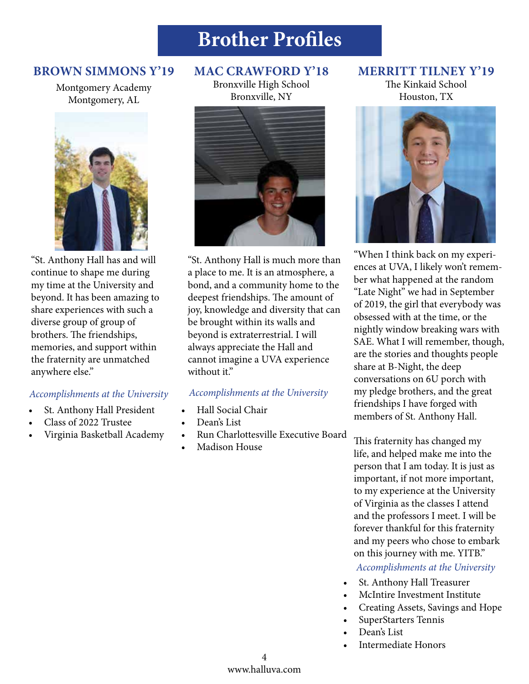## **Brother Profiles**

### **BROWN SIMMONS Y'19**

Montgomery Academy Montgomery, AL



"St. Anthony Hall has and will continue to shape me during my time at the University and beyond. It has been amazing to share experiences with such a diverse group of group of brothers. The friendships, memories, and support within the fraternity are unmatched anywhere else."

### *Accomplishments at the University*

- St. Anthony Hall President
- Class of 2022 Trustee
- Virginia Basketball Academy

### **MAC CRAWFORD Y'18**

Bronxville High School Bronxville, NY



"St. Anthony Hall is much more than a place to me. It is an atmosphere, a bond, and a community home to the deepest friendships. The amount of joy, knowledge and diversity that can be brought within its walls and beyond is extraterrestrial. I will always appreciate the Hall and cannot imagine a UVA experience without it."

### *Accomplishments at the University*

- Hall Social Chair
- Dean's List
- Run Charlottesville Executive Board
- Madison House

### **MERRITT TILNEY Y'19**

The Kinkaid School Houston, TX



"When I think back on my experiences at UVA, I likely won't remember what happened at the random "Late Night" we had in September of 2019, the girl that everybody was obsessed with at the time, or the nightly window breaking wars with SAE. What I will remember, though, are the stories and thoughts people share at B-Night, the deep conversations on 6U porch with my pledge brothers, and the great friendships I have forged with members of St. Anthony Hall.

This fraternity has changed my life, and helped make me into the person that I am today. It is just as important, if not more important, to my experience at the University of Virginia as the classes I attend and the professors I meet. I will be forever thankful for this fraternity and my peers who chose to embark on this journey with me. YITB."

*Accomplishments at the University* 

- St. Anthony Hall Treasurer
- McIntire Investment Institute
- Creating Assets, Savings and Hope
- SuperStarters Tennis
- Dean's List
- Intermediate Honors